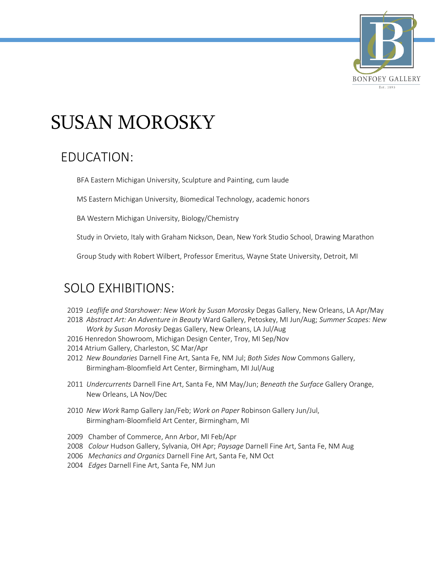

# SUSAN MOROSKY

### EDUCATION:

BFA Eastern Michigan University, Sculpture and Painting, cum laude

MS Eastern Michigan University, Biomedical Technology, academic honors

BA Western Michigan University, Biology/Chemistry

Study in Orvieto, Italy with Graham Nickson, Dean, New York Studio School, Drawing Marathon

Group Study with Robert Wilbert, Professor Emeritus, Wayne State University, Detroit, MI

#### SOLO EXHIBITIONS:

- 2019 *Leaflife and Starshower: New Work by Susan Morosky* Degas Gallery, New Orleans, LA Apr/May
- 2018 *Abstract Art: An Adventure in Beauty* Ward Gallery, Petoskey, MI Jun/Aug; *Summer Scapes: New Work by Susan Morosky* Degas Gallery, New Orleans, LA Jul/Aug
- 2016 Henredon Showroom, Michigan Design Center, Troy, MI Sep/Nov
- 2014 Atrium Gallery, Charleston, SC Mar/Apr
- 2012 *New Boundaries* Darnell Fine Art, Santa Fe, NM Jul; *Both Sides Now* Commons Gallery, Birmingham-Bloomfield Art Center, Birmingham, MI Jul/Aug
- 2011 *Undercurrents* Darnell Fine Art, Santa Fe, NM May/Jun; *Beneath the Surface* Gallery Orange, New Orleans, LA Nov/Dec
- 2010 *New Work* Ramp Gallery Jan/Feb; *Work on Paper* Robinson Gallery Jun/Jul, Birmingham-Bloomfield Art Center, Birmingham, MI
- 2009 Chamber of Commerce, Ann Arbor, MI Feb/Apr
- 2008 *Colour* Hudson Gallery, Sylvania, OH Apr; *Paysage* Darnell Fine Art, Santa Fe, NM Aug
- 2006 *Mechanics and Organics* Darnell Fine Art, Santa Fe, NM Oct
- 2004 *Edges* Darnell Fine Art, Santa Fe, NM Jun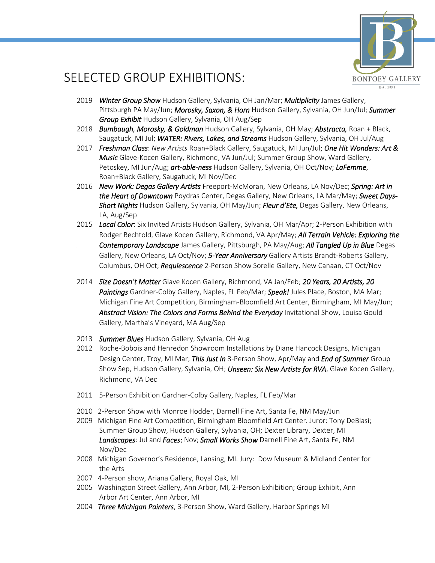

### SELECTED GROUP EXHIBITIONS:

- 2019 *Winter Group Show* Hudson Gallery, Sylvania, OH Jan/Mar; *Multiplicity* James Gallery, Pittsburgh PA May/Jun; *Morosky, Saxon, & Horn* Hudson Gallery, Sylvania, OH Jun/Jul; *Summer Group Exhibit* Hudson Gallery, Sylvania, OH Aug/Sep
- 2018 *Bumbaugh, Morosky, & Goldman* Hudson Gallery, Sylvania, OH May; *Abstracta,* Roan + Black, Saugatuck, MI Jul; *WATER: Rivers, Lakes, and Streams* Hudson Gallery, Sylvania, OH Jul/Aug
- 2017 *Freshman Class*: *New Artists* Roan+Black Gallery, Saugatuck, MI Jun/Jul; *One Hit Wonders: Art & Music* Glave-Kocen Gallery, Richmond, VA Jun/Jul; Summer Group Show, Ward Gallery, Petoskey, MI Jun/Aug; *art-able-ness* Hudson Gallery, Sylvania, OH Oct/Nov; *LaFemme*, Roan+Black Gallery, Saugatuck, MI Nov/Dec
- 2016 *New Work: Degas Gallery Artists* Freeport-McMoran, New Orleans, LA Nov/Dec; *Spring: Art in the Heart of Downtown* Poydras Center, Degas Gallery, New Orleans, LA Mar/May; *Sweet Days-Short Nights* Hudson Gallery, Sylvania, OH May/Jun; *Fleur d'Ete,* Degas Gallery, New Orleans, LA, Aug/Sep
- 2015 *Local Color*: Six Invited Artists Hudson Gallery, Sylvania, OH Mar/Apr; 2-Person Exhibition with Rodger Bechtold, Glave Kocen Gallery, Richmond, VA Apr/May; *All Terrain Vehicle: Exploring the Contemporary Landscape* James Gallery, Pittsburgh, PA May/Aug; *All Tangled Up in Blue* Degas Gallery, New Orleans, LA Oct/Nov; *5-Year Anniversary* Gallery Artists Brandt-Roberts Gallery, Columbus, OH Oct; *Requiescence* 2-Person Show Sorelle Gallery, New Canaan, CT Oct/Nov
- 2014 *Size Doesn't Matter* Glave Kocen Gallery, Richmond, VA Jan/Feb; *20 Years, 20 Artists, 20 Paintings* Gardner-Colby Gallery, Naples, FL Feb/Mar; *Speak!* Jules Place, Boston, MA Mar; Michigan Fine Art Competition, Birmingham-Bloomfield Art Center, Birmingham, MI May/Jun; *Abstract Vision: The Colors and Forms Behind the Everyday* Invitational Show, Louisa Gould Gallery, Martha's Vineyard, MA Aug/Sep
- 2013 *Summer Blues* Hudson Gallery, Sylvania, OH Aug
- 2012 Roche-Bobois and Henredon Showroom Installations by Diane Hancock Designs, Michigan Design Center, Troy, MI Mar; *This Just In* 3-Person Show, Apr/May and *End of Summer* Group Show Sep, Hudson Gallery, Sylvania, OH; *Unseen: Six New Artists for RVA*, Glave Kocen Gallery, Richmond, VA Dec
- 2011 5-Person Exhibition Gardner-Colby Gallery, Naples, FL Feb/Mar
- 2010 2-Person Show with Monroe Hodder, Darnell Fine Art, Santa Fe, NM May/Jun
- 2009 Michigan Fine Art Competition, Birmingham Bloomfield Art Center. Juror: Tony DeBlasi; Summer Group Show, Hudson Gallery, Sylvania, OH; Dexter Library, Dexter, MI *Landscapes*: Jul and *Faces*: Nov; *Small Works Show* Darnell Fine Art, Santa Fe, NM Nov/Dec
- 2008 Michigan Governor's Residence, Lansing, MI. Jury: Dow Museum & Midland Center for the Arts
- 2007 4-Person show, Ariana Gallery, Royal Oak, MI
- 2005 Washington Street Gallery, Ann Arbor, MI, 2-Person Exhibition; Group Exhibit, Ann Arbor Art Center, Ann Arbor, MI
- 2004 *Three Michigan Painters*, 3-Person Show, Ward Gallery, Harbor Springs MI